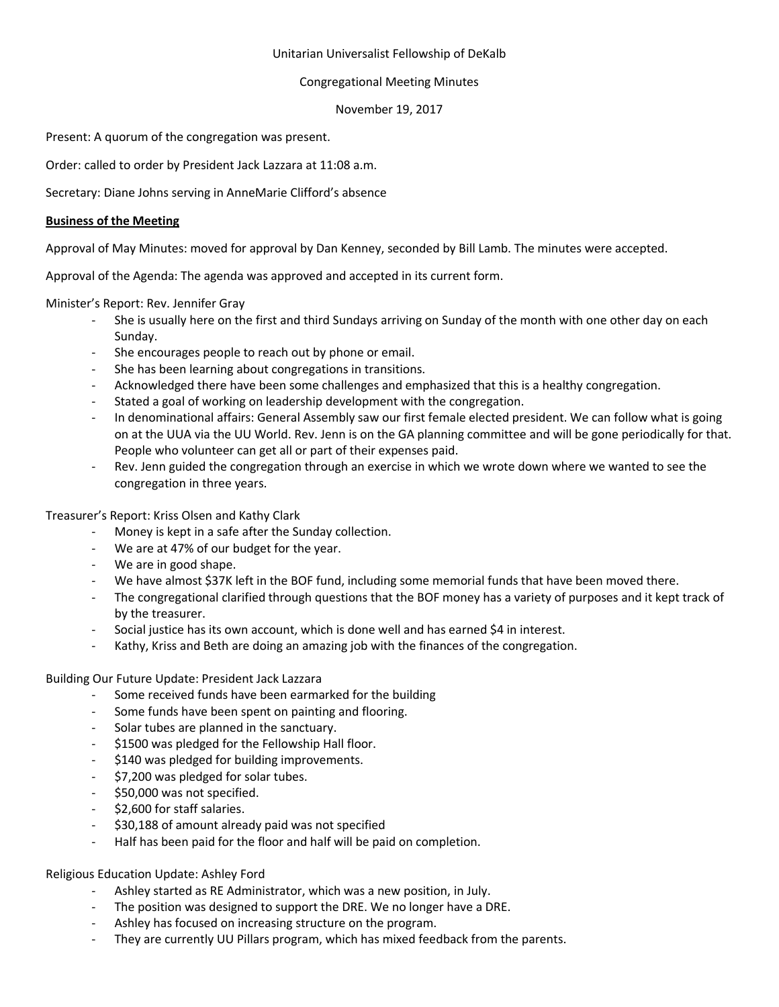## Unitarian Universalist Fellowship of DeKalb

# Congregational Meeting Minutes

## November 19, 2017

Present: A quorum of the congregation was present.

Order: called to order by President Jack Lazzara at 11:08 a.m.

Secretary: Diane Johns serving in AnneMarie Clifford's absence

#### **Business of the Meeting**

Approval of May Minutes: moved for approval by Dan Kenney, seconded by Bill Lamb. The minutes were accepted.

Approval of the Agenda: The agenda was approved and accepted in its current form.

Minister's Report: Rev. Jennifer Gray

- She is usually here on the first and third Sundays arriving on Sunday of the month with one other day on each Sunday.
- She encourages people to reach out by phone or email.
- She has been learning about congregations in transitions.
- Acknowledged there have been some challenges and emphasized that this is a healthy congregation.
- Stated a goal of working on leadership development with the congregation.
- In denominational affairs: General Assembly saw our first female elected president. We can follow what is going on at the UUA via the UU World. Rev. Jenn is on the GA planning committee and will be gone periodically for that. People who volunteer can get all or part of their expenses paid.
- Rev. Jenn guided the congregation through an exercise in which we wrote down where we wanted to see the congregation in three years.

Treasurer's Report: Kriss Olsen and Kathy Clark

- Money is kept in a safe after the Sunday collection.
- We are at 47% of our budget for the year.
- We are in good shape.
- We have almost \$37K left in the BOF fund, including some memorial funds that have been moved there.
- The congregational clarified through questions that the BOF money has a variety of purposes and it kept track of by the treasurer.
- Social justice has its own account, which is done well and has earned \$4 in interest.
- Kathy, Kriss and Beth are doing an amazing job with the finances of the congregation.

Building Our Future Update: President Jack Lazzara

- Some received funds have been earmarked for the building
- Some funds have been spent on painting and flooring.
- Solar tubes are planned in the sanctuary.
- \$1500 was pledged for the Fellowship Hall floor.
- \$140 was pledged for building improvements.
- \$7,200 was pledged for solar tubes.
- \$50,000 was not specified.
- \$2,600 for staff salaries.
- \$30,188 of amount already paid was not specified
- Half has been paid for the floor and half will be paid on completion.

Religious Education Update: Ashley Ford

- Ashley started as RE Administrator, which was a new position, in July.
- The position was designed to support the DRE. We no longer have a DRE.
- Ashley has focused on increasing structure on the program.
- They are currently UU Pillars program, which has mixed feedback from the parents.